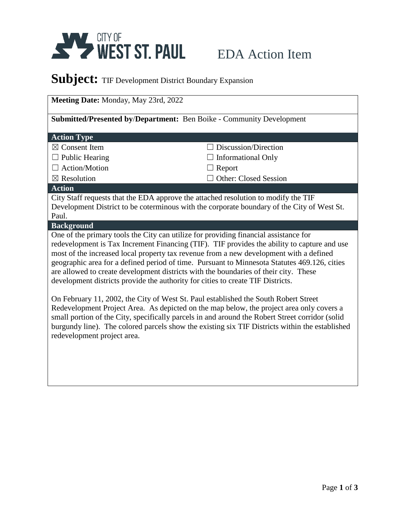

## EDA Action Item

## Subject: TIF Development District Boundary Expansion

| Meeting Date: Monday, May 23rd, 2022                                                                                                                                                                                                                                                                                                                                                                                                                                                                                                                                                                                                                                                                                                        |                              |  |
|---------------------------------------------------------------------------------------------------------------------------------------------------------------------------------------------------------------------------------------------------------------------------------------------------------------------------------------------------------------------------------------------------------------------------------------------------------------------------------------------------------------------------------------------------------------------------------------------------------------------------------------------------------------------------------------------------------------------------------------------|------------------------------|--|
| Submitted/Presented by/Department: Ben Boike - Community Development                                                                                                                                                                                                                                                                                                                                                                                                                                                                                                                                                                                                                                                                        |                              |  |
| <b>Action Type</b>                                                                                                                                                                                                                                                                                                                                                                                                                                                                                                                                                                                                                                                                                                                          |                              |  |
| $\boxtimes$ Consent Item                                                                                                                                                                                                                                                                                                                                                                                                                                                                                                                                                                                                                                                                                                                    | Discussion/Direction         |  |
| $\Box$ Public Hearing                                                                                                                                                                                                                                                                                                                                                                                                                                                                                                                                                                                                                                                                                                                       | <b>Informational Only</b>    |  |
| $\Box$ Action/Motion                                                                                                                                                                                                                                                                                                                                                                                                                                                                                                                                                                                                                                                                                                                        | $\Box$ Report                |  |
| $\boxtimes$ Resolution                                                                                                                                                                                                                                                                                                                                                                                                                                                                                                                                                                                                                                                                                                                      | <b>Other: Closed Session</b> |  |
| <b>Action</b>                                                                                                                                                                                                                                                                                                                                                                                                                                                                                                                                                                                                                                                                                                                               |                              |  |
| City Staff requests that the EDA approve the attached resolution to modify the TIF<br>Development District to be coterminous with the corporate boundary of the City of West St.<br>Paul.                                                                                                                                                                                                                                                                                                                                                                                                                                                                                                                                                   |                              |  |
| <b>Background</b>                                                                                                                                                                                                                                                                                                                                                                                                                                                                                                                                                                                                                                                                                                                           |                              |  |
| One of the primary tools the City can utilize for providing financial assistance for<br>redevelopment is Tax Increment Financing (TIF). TIF provides the ability to capture and use<br>most of the increased local property tax revenue from a new development with a defined<br>geographic area for a defined period of time. Pursuant to Minnesota Statutes 469.126, cities<br>are allowed to create development districts with the boundaries of their city. These<br>development districts provide the authority for cities to create TIF Districts.<br>On February 11, 2002, the City of West St. Paul established the South Robert Street<br>Redevelopment Project Area. As depicted on the map below, the project area only covers a |                              |  |
| small portion of the City, specifically parcels in and around the Robert Street corridor (solid<br>burgundy line). The colored parcels show the existing six TIF Districts within the established<br>redevelopment project area.                                                                                                                                                                                                                                                                                                                                                                                                                                                                                                            |                              |  |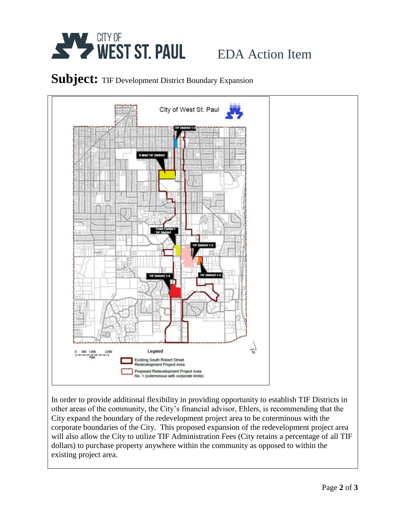

# EDA Action Item

#### Subject: TIF Development District Boundary Expansion



In order to provide additional flexibility in providing opportunity to establish TIF Districts in other areas of the community, the City's financial advisor, Ehlers, is recommending that the City expand the boundary of the redevelopment project area to be coterminous with the corporate boundaries of the City. This proposed expansion of the redevelopment project area will also allow the City to utilize TIF Administration Fees (City retains a percentage of all TIF dollars) to purchase property anywhere within the community as opposed to within the existing project area.